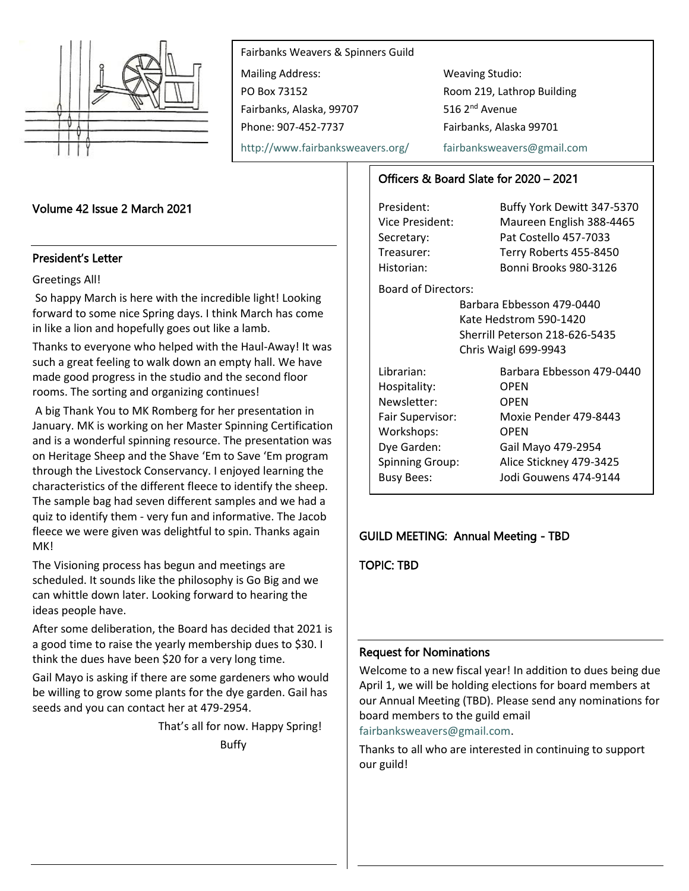

Fairbanks Weavers & Spinners Guild Mailing Address: Weaving Studio: PO Box 73152 Room 219, Lathrop Building Fairbanks, Alaska, 99707 516 2<sup>nd</sup> Avenue Phone: 907-452-7737 Fairbanks, Alaska 99701

<http://www.fairbanksweavers.org/> [fairbanksweavers@gmail.com](mailto:fairbanksweavers@gmail.com)

#### Volume 42 Issue 2 March 2021

#### President's Letter

#### Greetings All!

So happy March is here with the incredible light! Looking forward to some nice Spring days. I think March has come in like a lion and hopefully goes out like a lamb.

Thanks to everyone who helped with the Haul-Away! It was such a great feeling to walk down an empty hall. We have made good progress in the studio and the second floor rooms. The sorting and organizing continues!

A big Thank You to MK Romberg for her presentation in January. MK is working on her Master Spinning Certification and is a wonderful spinning resource. The presentation was on Heritage Sheep and the Shave 'Em to Save 'Em program through the Livestock Conservancy. I enjoyed learning the characteristics of the different fleece to identify the sheep. The sample bag had seven different samples and we had a quiz to identify them - very fun and informative. The Jacob fleece we were given was delightful to spin. Thanks again MK!

The Visioning process has begun and meetings are scheduled. It sounds like the philosophy is Go Big and we can whittle down later. Looking forward to hearing the ideas people have.

After some deliberation, the Board has decided that 2021 is a good time to raise the yearly membership dues to \$30. I think the dues have been \$20 for a very long time.

Gail Mayo is asking if there are some gardeners who would be willing to grow some plants for the dye garden. Gail has seeds and you can contact her at 479-2954.

That's all for now. Happy Spring!

Buffy

## Officers & Board Slate for 2020 – 2021

President: Buffy York Dewitt 347-5370 Vice President: Maureen English 388-4465 Secretary: Pat Costello 457-7033 Treasurer: Terry Roberts 455-8450 Historian: Bonni Brooks 980-3126

Board of Directors:

Barbara Ebbesson 479-0440 Kate Hedstrom 590-1420 Sherrill Peterson 218-626-5435 Chris Waigl 699-9943

| Librarian:             | Barbara Ebbesson 479-0440 |
|------------------------|---------------------------|
| Hospitality:           | <b>OPEN</b>               |
| Newsletter:            | <b>OPEN</b>               |
| Fair Supervisor:       | Moxie Pender 479-8443     |
| Workshops:             | <b>OPEN</b>               |
| Dye Garden:            | Gail Mayo 479-2954        |
| <b>Spinning Group:</b> | Alice Stickney 479-3425   |
| <b>Busy Bees:</b>      | Jodi Gouwens 474-9144     |

#### GUILD MEETING: Annual Meeting - TBD

TOPIC: TBD

## Request for Nominations

Welcome to a new fiscal year! In addition to dues being due April 1, we will be holding elections for board members at our Annual Meeting (TBD). Please send any nominations for board members to the guild email

[fairbanksweavers@gmail.com.](mailto:fairbanksweavers@gmail.com)

Thanks to all who are interested in continuing to support our guild!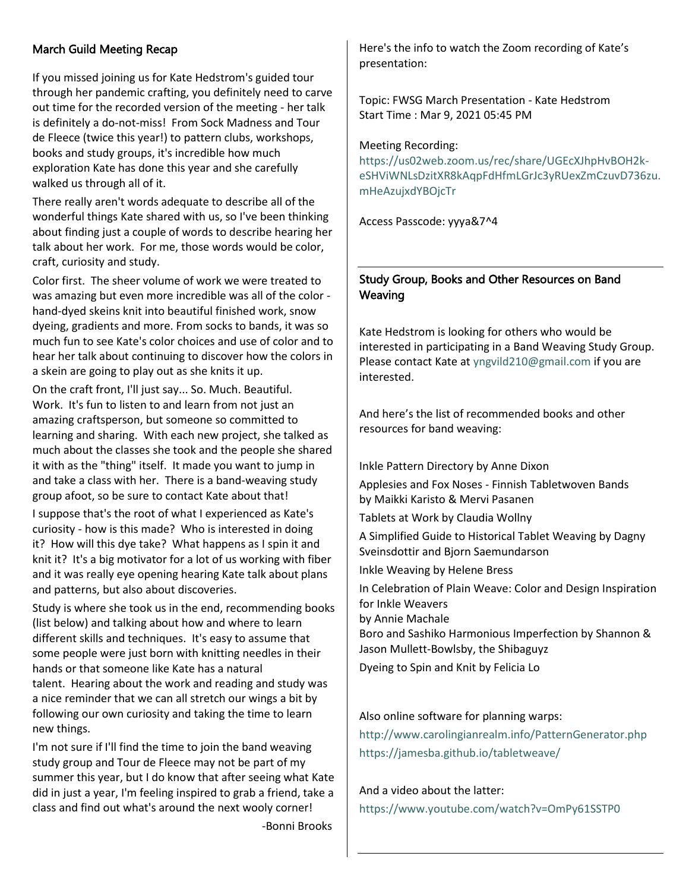# March Guild Meeting Recap

If you missed joining us for Kate Hedstrom's guided tour through her pandemic crafting, you definitely need to carve out time for the recorded version of the meeting - her talk is definitely a do-not-miss! From Sock Madness and Tour de Fleece (twice this year!) to pattern clubs, workshops, books and study groups, it's incredible how much exploration Kate has done this year and she carefully walked us through all of it.

There really aren't words adequate to describe all of the wonderful things Kate shared with us, so I've been thinking about finding just a couple of words to describe hearing her talk about her work. For me, those words would be color, craft, curiosity and study.

Color first. The sheer volume of work we were treated to was amazing but even more incredible was all of the color hand-dyed skeins knit into beautiful finished work, snow dyeing, gradients and more. From socks to bands, it was so much fun to see Kate's color choices and use of color and to hear her talk about continuing to discover how the colors in a skein are going to play out as she knits it up.

On the craft front, I'll just say... So. Much. Beautiful. Work. It's fun to listen to and learn from not just an amazing craftsperson, but someone so committed to learning and sharing. With each new project, she talked as much about the classes she took and the people she shared it with as the "thing" itself. It made you want to jump in and take a class with her. There is a band-weaving study group afoot, so be sure to contact Kate about that!

I suppose that's the root of what I experienced as Kate's curiosity - how is this made? Who is interested in doing it? How will this dye take? What happens as I spin it and knit it? It's a big motivator for a lot of us working with fiber and it was really eye opening hearing Kate talk about plans and patterns, but also about discoveries.

Study is where she took us in the end, recommending books (list below) and talking about how and where to learn different skills and techniques. It's easy to assume that some people were just born with knitting needles in their hands or that someone like Kate has a natural talent. Hearing about the work and reading and study was a nice reminder that we can all stretch our wings a bit by following our own curiosity and taking the time to learn new things.

I'm not sure if I'll find the time to join the band weaving study group and Tour de Fleece may not be part of my summer this year, but I do know that after seeing what Kate did in just a year, I'm feeling inspired to grab a friend, take a class and find out what's around the next wooly corner!

-Bonni Brooks

Here's the info to watch the Zoom recording of Kate's presentation:

Topic: FWSG March Presentation - Kate Hedstrom Start Time : Mar 9, 2021 05:45 PM

Meeting Recording:

[https://us02web.zoom.us/rec/share/UGEcXJhpHvBOH2k](https://us02web.zoom.us/rec/share/UGEcXJhpHvBOH2k-eSHViWNLsDzitXR8kAqpFdHfmLGrJc3yRUexZmCzuvD736zu.mHeAzujxdYBOjcTr)[eSHViWNLsDzitXR8kAqpFdHfmLGrJc3yRUexZmCzuvD736zu.](https://us02web.zoom.us/rec/share/UGEcXJhpHvBOH2k-eSHViWNLsDzitXR8kAqpFdHfmLGrJc3yRUexZmCzuvD736zu.mHeAzujxdYBOjcTr) [mHeAzujxdYBOjcTr](https://us02web.zoom.us/rec/share/UGEcXJhpHvBOH2k-eSHViWNLsDzitXR8kAqpFdHfmLGrJc3yRUexZmCzuvD736zu.mHeAzujxdYBOjcTr)

Access Passcode: yyya&7^4

# Study Group, Books and Other Resources on Band **Weaving**

Kate Hedstrom is looking for others who would be interested in participating in a Band Weaving Study Group. Please contact Kate a[t yngvild210@gmail.com](mailto:yngvild210@gmail.com) if you are interested.

And here's the list of recommended books and other resources for band weaving:

Inkle Pattern Directory by Anne Dixon

Applesies and Fox Noses - Finnish Tabletwoven Bands by Maikki Karisto & Mervi Pasanen

Tablets at Work by Claudia Wollny

A Simplified Guide to Historical Tablet Weaving by Dagny Sveinsdottir and Bjorn Saemundarson

Inkle Weaving by Helene Bress

In Celebration of Plain Weave: Color and Design Inspiration for Inkle Weavers by Annie Machale Boro and Sashiko Harmonious Imperfection by Shannon &

Jason Mullett-Bowlsby, the Shibaguyz

Dyeing to Spin and Knit by Felicia Lo

#### Also online software for planning warps:

<http://www.carolingianrealm.info/PatternGenerator.php> <https://jamesba.github.io/tabletweave/>

#### And a video about the latter:

<https://www.youtube.com/watch?v=OmPy61SSTP0>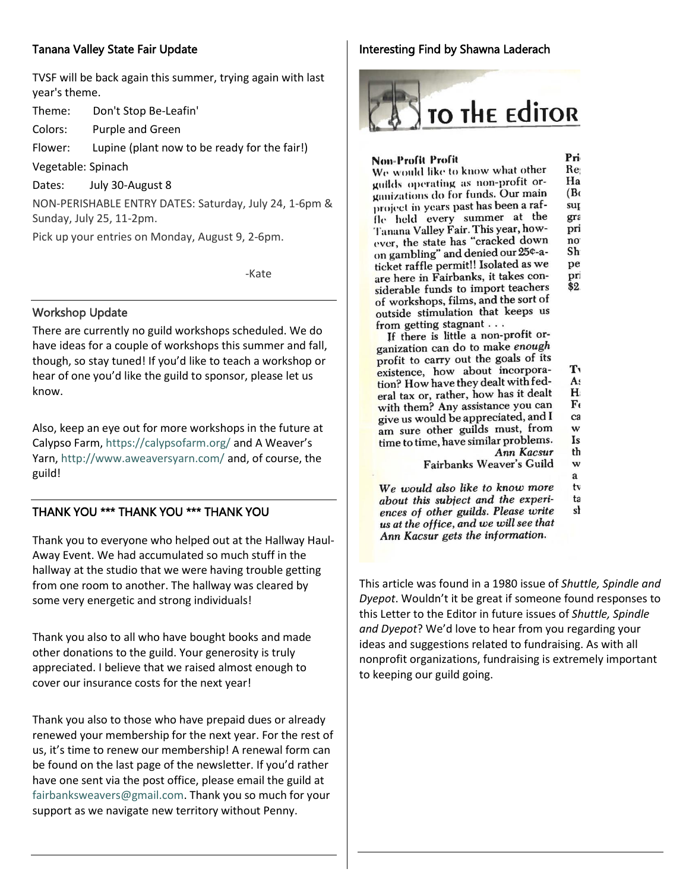# Tanana Valley State Fair Update

TVSF will be back again this summer, trying again with last year's theme.

Theme: Don't Stop Be-Leafin'

Colors: Purple and Green

Flower: Lupine (plant now to be ready for the fair!)

Vegetable: Spinach

Dates: July 30-August 8

NON-PERISHABLE ENTRY DATES: Saturday, July 24, 1-6pm & Sunday, July 25, 11-2pm.

Pick up your entries on Monday, August 9, 2-6pm.

e de la contrata de la construcción de la construcción de la construcción de la construcción de la construcció

#### Workshop Update

There are currently no guild workshops scheduled. We do have ideas for a couple of workshops this summer and fall, though, so stay tuned! If you'd like to teach a workshop or hear of one you'd like the guild to sponsor, please let us know.

Also, keep an eye out for more workshops in the future at Calypso Farm,<https://calypsofarm.org/> and A Weaver's Yarn,<http://www.aweaversyarn.com/> and, of course, the guild!

## THANK YOU \*\*\* THANK YOU \*\*\* THANK YOU

Thank you to everyone who helped out at the Hallway Haul-Away Event. We had accumulated so much stuff in the hallway at the studio that we were having trouble getting from one room to another. The hallway was cleared by some very energetic and strong individuals!

Thank you also to all who have bought books and made other donations to the guild. Your generosity is truly appreciated. I believe that we raised almost enough to cover our insurance costs for the next year!

Thank you also to those who have prepaid dues or already renewed your membership for the next year. For the rest of us, it's time to renew our membership! A renewal form can be found on the last page of the newsletter. If you'd rather have one sent via the post office, please email the guild at [fairbanksweavers@gmail.com.](mailto:fairbanksweavers@gmail.com) Thank you so much for your support as we navigate new territory without Penny.

## Interesting Find by Shawna Laderach



#### Non-Profit Profit

We would like to know what other Re: guilds operating as non-profit or-Ha ganizations do for funds. Our main  $(B<sub>c</sub>)$ project in years past has been a rafsur fle held every summer at the gra Tanana Valley Fair. This year, howpri ever, the state has "cracked down no<sup>-</sup> on gambling" and denied our 25¢-a-Sh ticket raffle permit!! Isolated as we pe are here in Fairbanks, it takes conpri siderable funds to import teachers  $\overline{\$2}$ of workshops, films, and the sort of outside stimulation that keeps us from getting stagnant . . .

If there is little a non-profit organization can do to make enough profit to carry out the goals of its existence, how about incorpora-T<sub>1</sub> tion? How have they dealt with fed-As eral tax or, rather, how has it dealt  $H<sub>1</sub>$ with them? Any assistance you can  $\mathbf{F}$ give us would be appreciated, and I ca am sure other guilds must, from w time to time, have similar problems. Is. Ann Kacsur th

> Fairbanks Weaver's Guild w

 $\mathbf{a}$ 

Pri

We would also like to know more tv about this subject and the experita ences of other guilds. Please write sł us at the office, and we will see that Ann Kacsur gets the information.

This article was found in a 1980 issue of *Shuttle, Spindle and Dyepot*. Wouldn't it be great if someone found responses to this Letter to the Editor in future issues of *Shuttle, Spindle and Dyepot*? We'd love to hear from you regarding your ideas and suggestions related to fundraising. As with all nonprofit organizations, fundraising is extremely important to keeping our guild going.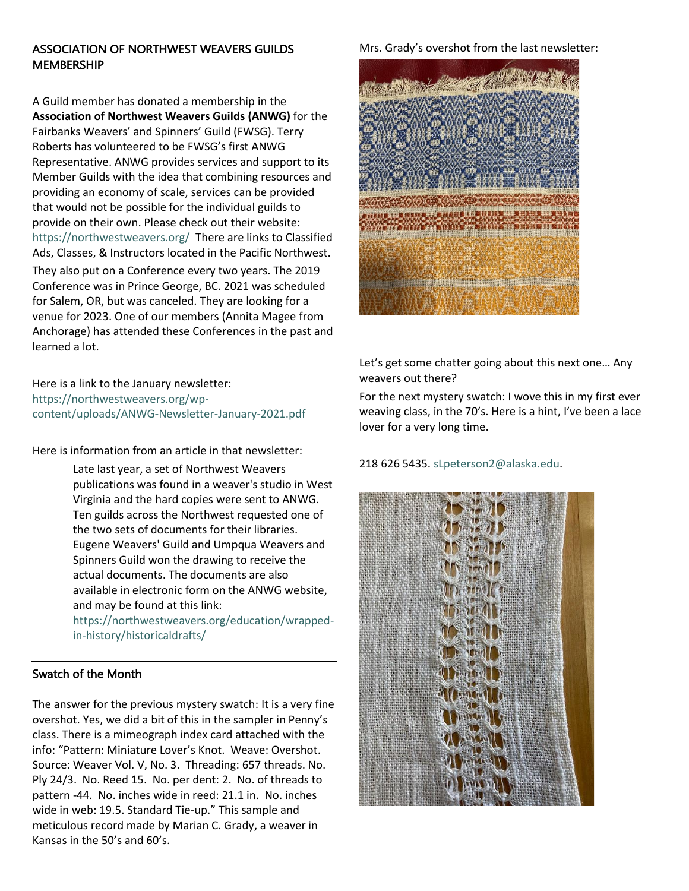# ASSOCIATION OF NORTHWEST WEAVERS GUILDS **MEMBERSHIP**

A Guild member has donated a membership in the **Association of Northwest Weavers Guilds (ANWG)** for the Fairbanks Weavers' and Spinners' Guild (FWSG). Terry Roberts has volunteered to be FWSG's first ANWG Representative. ANWG provides services and support to its Member Guilds with the idea that combining resources and providing an economy of scale, services can be provided that would not be possible for the individual guilds to provide on their own. Please check out their website: <https://northwestweavers.org/>There are links to Classified Ads, Classes, & Instructors located in the Pacific Northwest.

They also put on a Conference every two years. The 2019 Conference was in Prince George, BC. 2021 was scheduled for Salem, OR, but was canceled. They are looking for a venue for 2023. One of our members (Annita Magee from Anchorage) has attended these Conferences in the past and learned a lot.

Here is a link to the January newsletter: [https://northwestweavers.org/wp](https://northwestweavers.org/wp-content/uploads/ANWG-Newsletter-January-2021.pdf)[content/uploads/ANWG-Newsletter-January-2021.pdf](https://northwestweavers.org/wp-content/uploads/ANWG-Newsletter-January-2021.pdf) 

Here is information from an article in that newsletter:

Late last year, a set of Northwest Weavers publications was found in a weaver's studio in West Virginia and the hard copies were sent to ANWG. Ten guilds across the Northwest requested one of the two sets of documents for their libraries. Eugene Weavers' Guild and Umpqua Weavers and Spinners Guild won the drawing to receive the actual documents. The documents are also available in electronic form on the ANWG website, and may be found at this link:

[https://northwestweavers.org/education/wrapped](https://northwestweavers.org/education/wrapped-in-history/historicaldrafts/)[in-history/historicaldrafts/](https://northwestweavers.org/education/wrapped-in-history/historicaldrafts/)

# Swatch of the Month

The answer for the previous mystery swatch: It is a very fine overshot. Yes, we did a bit of this in the sampler in Penny's class. There is a mimeograph index card attached with the info: "Pattern: Miniature Lover's Knot. Weave: Overshot. Source: Weaver Vol. V, No. 3. Threading: 657 threads. No. Ply 24/3. No. Reed 15. No. per dent: 2. No. of threads to pattern -44. No. inches wide in reed: 21.1 in. No. inches wide in web: 19.5. Standard Tie-up." This sample and meticulous record made by Marian C. Grady, a weaver in Kansas in the 50's and 60's.

#### Mrs. Grady's overshot from the last newsletter:



Let's get some chatter going about this next one… Any weavers out there?

For the next mystery swatch: I wove this in my first ever weaving class, in the 70's. Here is a hint, I've been a lace lover for a very long time.



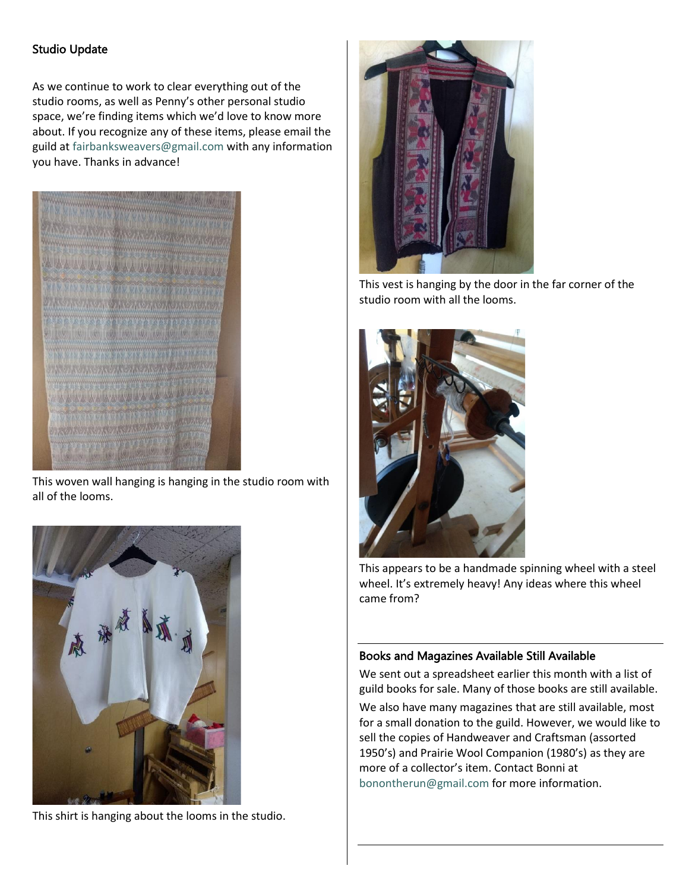# Studio Update

As we continue to work to clear everything out of the studio rooms, as well as Penny's other personal studio space, we're finding items which we'd love to know more about. If you recognize any of these items, please email the guild a[t fairbanksweavers@gmail.com](mailto:fairbanksweavers@gmail.com) with any information you have. Thanks in advance!



This woven wall hanging is hanging in the studio room with all of the looms.



This shirt is hanging about the looms in the studio.



This vest is hanging by the door in the far corner of the studio room with all the looms.



This appears to be a handmade spinning wheel with a steel wheel. It's extremely heavy! Any ideas where this wheel came from?

## Books and Magazines Available Still Available

We sent out a spreadsheet earlier this month with a list of guild books for sale. Many of those books are still available.

We also have many magazines that are still available, most for a small donation to the guild. However, we would like to sell the copies of Handweaver and Craftsman (assorted 1950's) and Prairie Wool Companion (1980's) as they are more of a collector's item. Contact Bonni at [bonontherun@gmail.com](mailto:bonontherun@gmail.com) for more information.